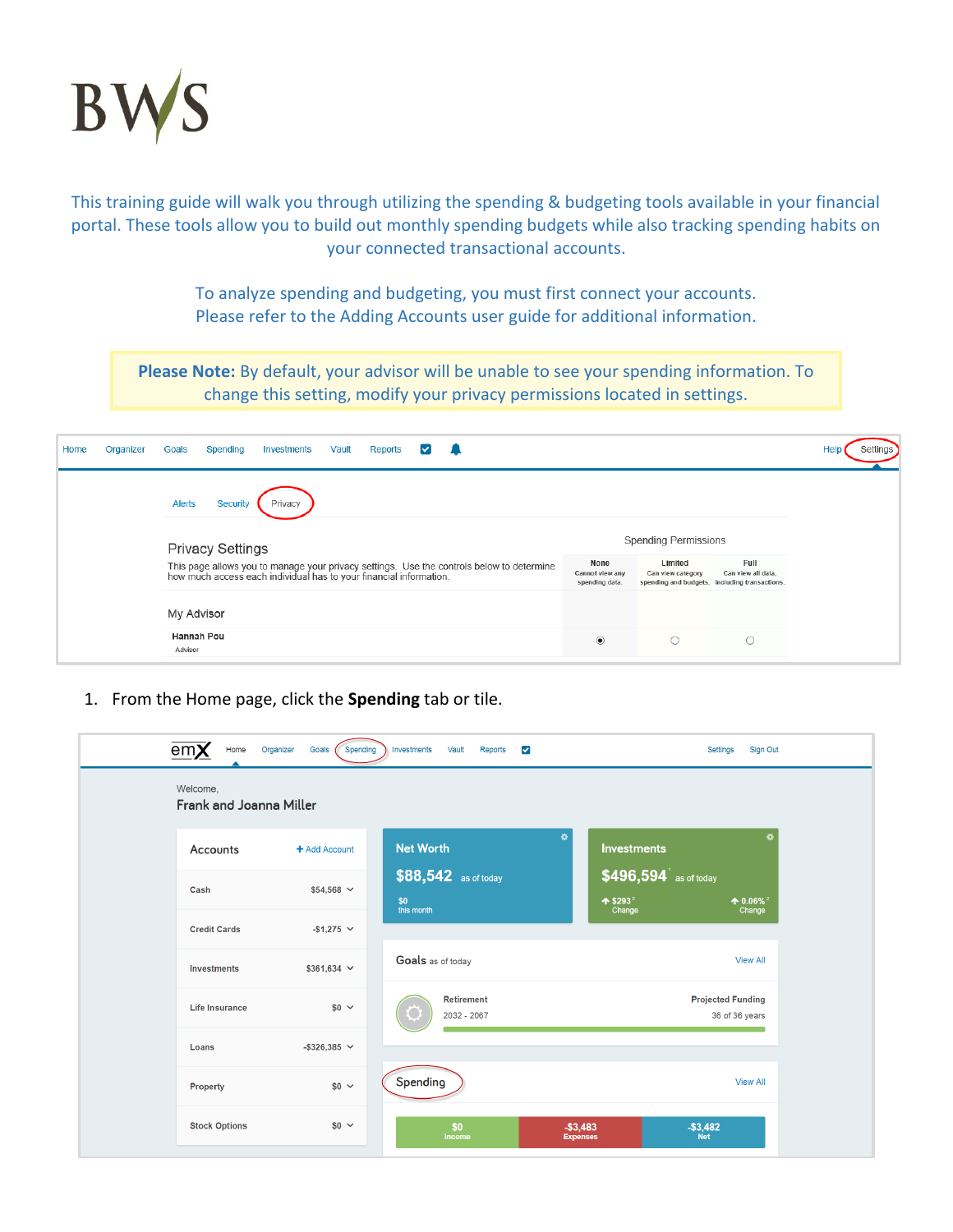

This training guide will walk you through utilizing the spending & budgeting tools available in your financial portal. These tools allow you to build out monthly spending budgets while also tracking spending habits on your connected transactional accounts.

> To analyze spending and budgeting, you must first connect your accounts. Please refer to the Adding Accounts user guide for additional information.

**Please Note:** By default, your advisor will be unable to see your spending information. To change this setting, modify your privacy permissions located in settings.

| Home | Organizer | Goals                                                                                                                                                           | Spending | Investments | Vault | Reports |  |  |                                           |                             |                              |                                                                             |  |
|------|-----------|-----------------------------------------------------------------------------------------------------------------------------------------------------------------|----------|-------------|-------|---------|--|--|-------------------------------------------|-----------------------------|------------------------------|-----------------------------------------------------------------------------|--|
|      |           | <b>Alerts</b>                                                                                                                                                   | Security | Privacy     |       |         |  |  |                                           |                             |                              |                                                                             |  |
|      |           | <b>Privacy Settings</b>                                                                                                                                         |          |             |       |         |  |  |                                           | <b>Spending Permissions</b> |                              |                                                                             |  |
|      |           | This page allows you to manage your privacy settings. Use the controls below to determine<br>how much access each individual has to your financial information. |          |             |       |         |  |  | None<br>Cannot view any<br>spending data. |                             | Limited<br>Can view category | Full<br>Can view all data,<br>spending and budgets. including transactions. |  |
|      |           | My Advisor                                                                                                                                                      |          |             |       |         |  |  |                                           |                             |                              |                                                                             |  |
|      |           | Hannah Pou<br>Advisor                                                                                                                                           |          |             |       |         |  |  | $\circledbullet$                          |                             | $\circ$                      |                                                                             |  |

1. From the Home page, click the **Spending** tab or tile.

|                       |                      |                      | ۰                                | $\bullet$                                 |
|-----------------------|----------------------|----------------------|----------------------------------|-------------------------------------------|
| <b>Accounts</b>       | + Add Account        | <b>Net Worth</b>     | <b>Investments</b>               |                                           |
| Cash                  | $$54,568$ $\vee$     | \$88,542 as of today | \$496,594 as of today            |                                           |
|                       |                      | \$0<br>this month    | $*$ \$293 <sup>2</sup><br>Change | $\textbf{4}0.06\%$ <sup>2</sup><br>Change |
| <b>Credit Cards</b>   | $-$1,275$ $\vee$     |                      |                                  |                                           |
| <b>Investments</b>    | $$361,634 \sim$      | Goals as of today    |                                  | <b>View All</b>                           |
| <b>Life Insurance</b> | $$0 \sim$            | <b>Retirement</b>    |                                  | <b>Projected Funding</b>                  |
|                       |                      | 2032 - 2067          |                                  | 36 of 36 years                            |
| Loans                 | $-$ \$326,385 $\sim$ |                      |                                  |                                           |
| Property              | $$0 \sim$            | Spending             |                                  | <b>View All</b>                           |
|                       |                      |                      |                                  |                                           |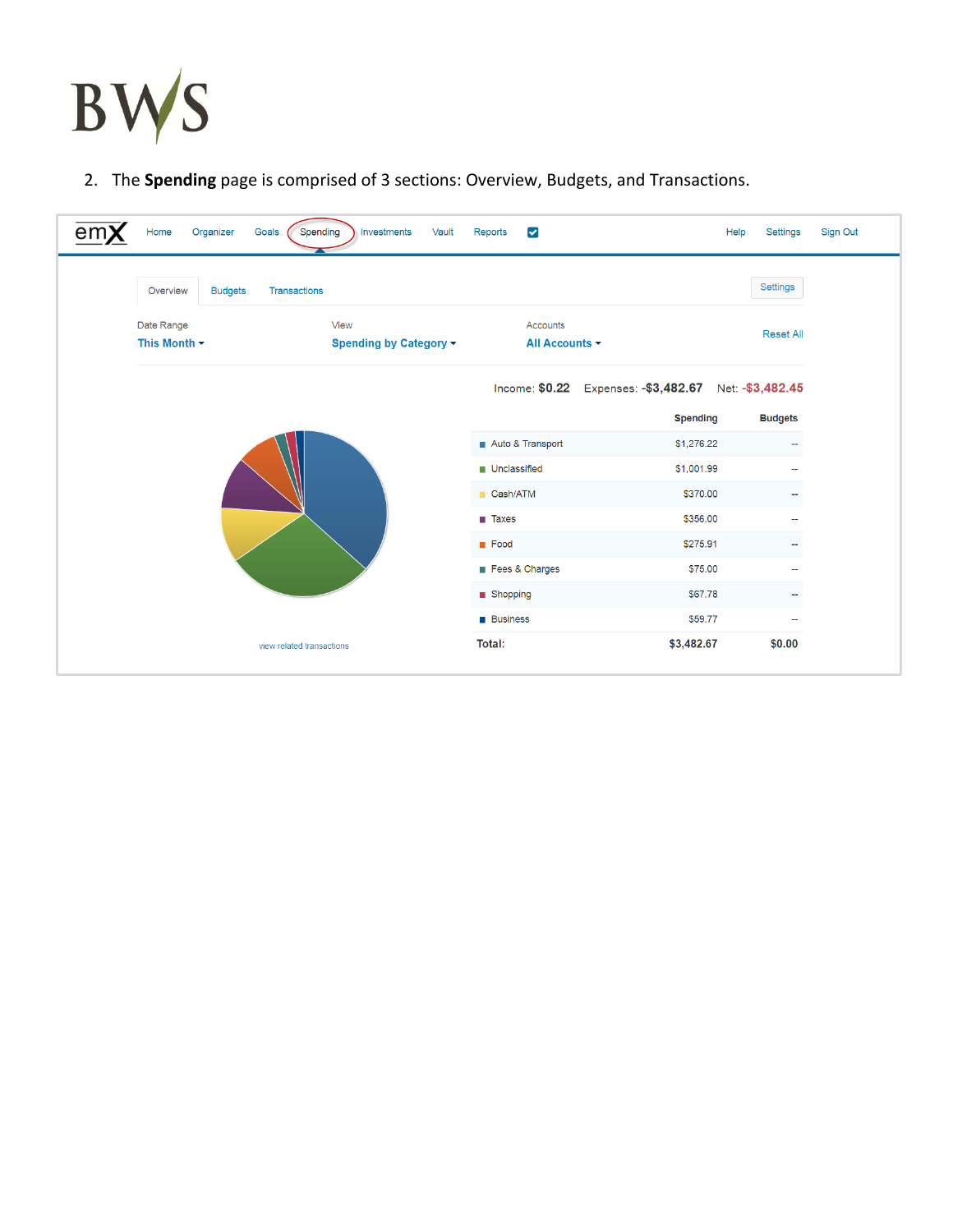

2. The **Spending** page is comprised of 3 sections: Overview, Budgets, and Transactions.

| en | Organizer<br>Goals<br>Home                 | Investments<br>Spending<br>Vault | Reports<br>$\blacktriangleright$ |                                                       | Help<br>Settings         | Sign Out |
|----|--------------------------------------------|----------------------------------|----------------------------------|-------------------------------------------------------|--------------------------|----------|
|    | <b>Budgets</b><br>Transactions<br>Overview |                                  |                                  |                                                       | Settings                 |          |
|    | Date Range<br>This Month $\star$           | View<br>Spending by Category ▼   | Accounts<br>All Accounts -       |                                                       | <b>Reset All</b>         |          |
|    |                                            |                                  |                                  | Income: \$0.22 Expenses: -\$3,482.67 Net: -\$3,482.45 |                          |          |
|    |                                            |                                  |                                  | <b>Spending</b>                                       | <b>Budgets</b>           |          |
|    |                                            |                                  | Auto & Transport                 | \$1,276.22                                            | $\overline{\phantom{a}}$ |          |
|    |                                            |                                  | Unclassified                     | \$1,001.99                                            | $\sim$                   |          |
|    |                                            |                                  | Cash/ATM                         | \$370.00                                              | $\sim$                   |          |
|    |                                            |                                  | $\blacksquare$ Taxes             | \$356.00                                              | 44                       |          |
|    |                                            |                                  | <b>Food</b>                      | \$275.91                                              | --                       |          |
|    |                                            |                                  | Fees & Charges                   | \$75.00                                               | ۰.                       |          |
|    |                                            |                                  |                                  |                                                       |                          |          |
|    |                                            |                                  | ■ Shopping                       | \$67.78                                               | $\overline{\phantom{a}}$ |          |
|    |                                            |                                  | <b>Business</b>                  | \$59.77                                               | $\overline{\phantom{a}}$ |          |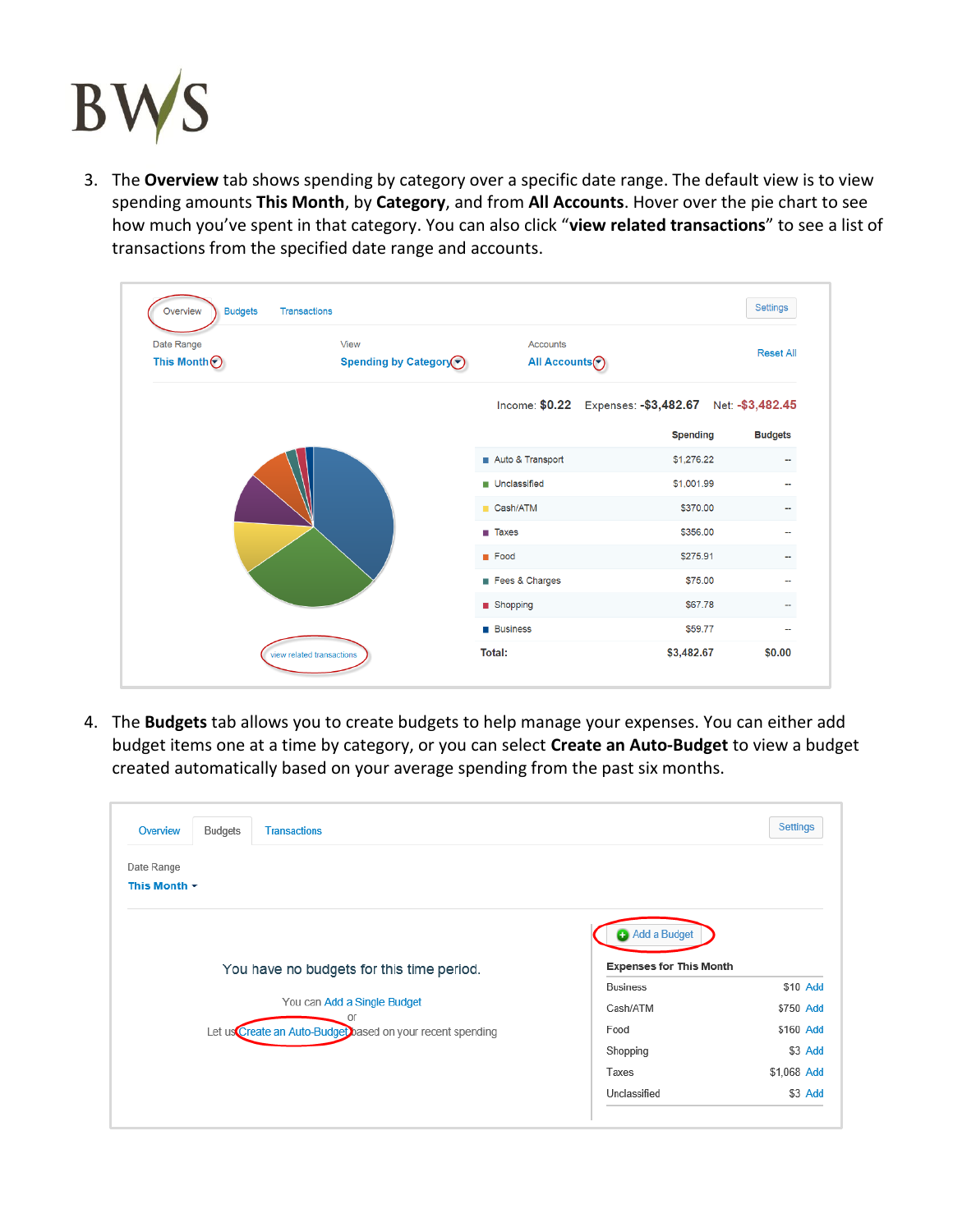

3. The **Overview** tab shows spending by category over a specific date range. The default view is to view spending amounts **This Month**, by **Category**, and from **All Accounts**. Hover over the pie chart to see how much you've spent in that category. You can also click "**view related transactions**" to see a list of transactions from the specified date range and accounts.

| <b>Budgets</b><br>Overview       | Transactions                   |                                         |                                                       | Settings         |
|----------------------------------|--------------------------------|-----------------------------------------|-------------------------------------------------------|------------------|
| Date Range<br>This Month $\odot$ | View<br>Spending by Category ⊙ | Accounts<br>All Accounts <sup>(-)</sup> |                                                       | <b>Reset All</b> |
|                                  |                                |                                         | Income: \$0.22 Expenses: -\$3,482.67 Net: -\$3,482.45 |                  |
|                                  |                                |                                         | <b>Spending</b>                                       | <b>Budgets</b>   |
|                                  |                                | Auto & Transport                        | \$1,276.22                                            |                  |
|                                  |                                | <b>Unclassified</b>                     | \$1,001.99                                            |                  |
|                                  |                                | Cash/ATM                                | \$370.00                                              |                  |
|                                  |                                | $\blacksquare$ Taxes                    | \$356.00                                              |                  |
|                                  |                                | <b>Food</b>                             | \$275.91                                              |                  |
|                                  |                                | Fees & Charges                          | \$75.00                                               |                  |
|                                  |                                | Shopping                                | \$67.78                                               |                  |
|                                  |                                | <b>Business</b>                         | \$59.77                                               | --               |
|                                  | view related transactions      | Total:                                  | \$3,482.67                                            | \$0.00           |

4. The **Budgets** tab allows you to create budgets to help manage your expenses. You can either add budget items one at a time by category, or you can select **Create an Auto-Budget** to view a budget created automatically based on your average spending from the past six months.

| Overview                        | Budgets | <b>Transactions</b>                                                                             |                                                   | <b>Settings</b>        |
|---------------------------------|---------|-------------------------------------------------------------------------------------------------|---------------------------------------------------|------------------------|
| Date Range<br>This Month $\sim$ |         |                                                                                                 | Add a Budget                                      |                        |
|                                 |         | You have no budgets for this time period.                                                       | <b>Expenses for This Month</b><br><b>Business</b> | \$10 Add               |
|                                 |         | You can Add a Single Budget<br>or<br>Let us Create an Auto-Budget based on your recent spending | Cash/ATM<br>Food                                  | \$750 Add<br>\$160 Add |
|                                 |         |                                                                                                 | Shopping<br>Taxes                                 | \$3 Add<br>\$1,068 Add |
|                                 |         |                                                                                                 | Unclassified                                      | \$3 Add                |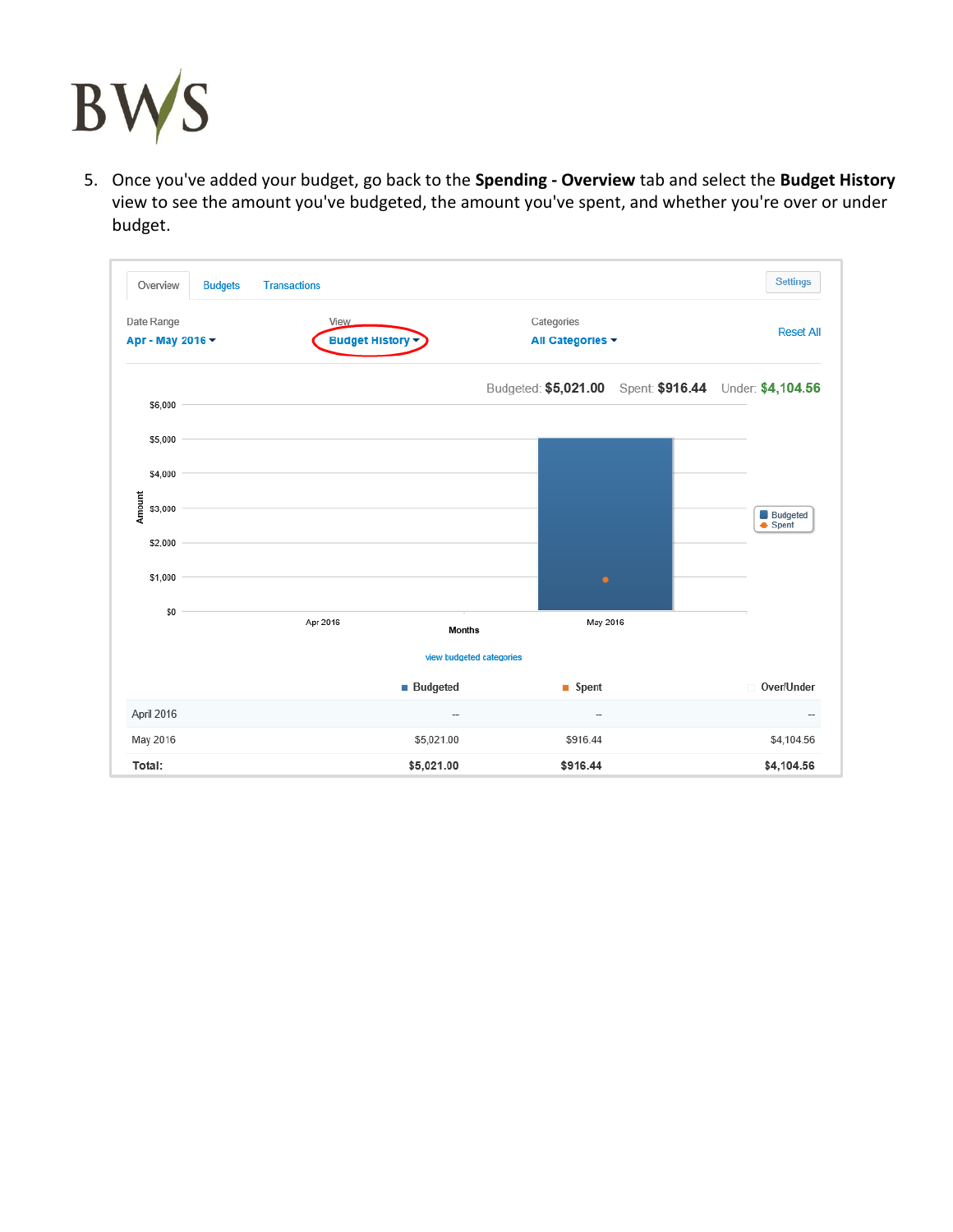

5. Once you've added your budget, go back to the **Spending - Overview** tab and select the **Budget History** view to see the amount you've budgeted, the amount you've spent, and whether you're over or under budget.

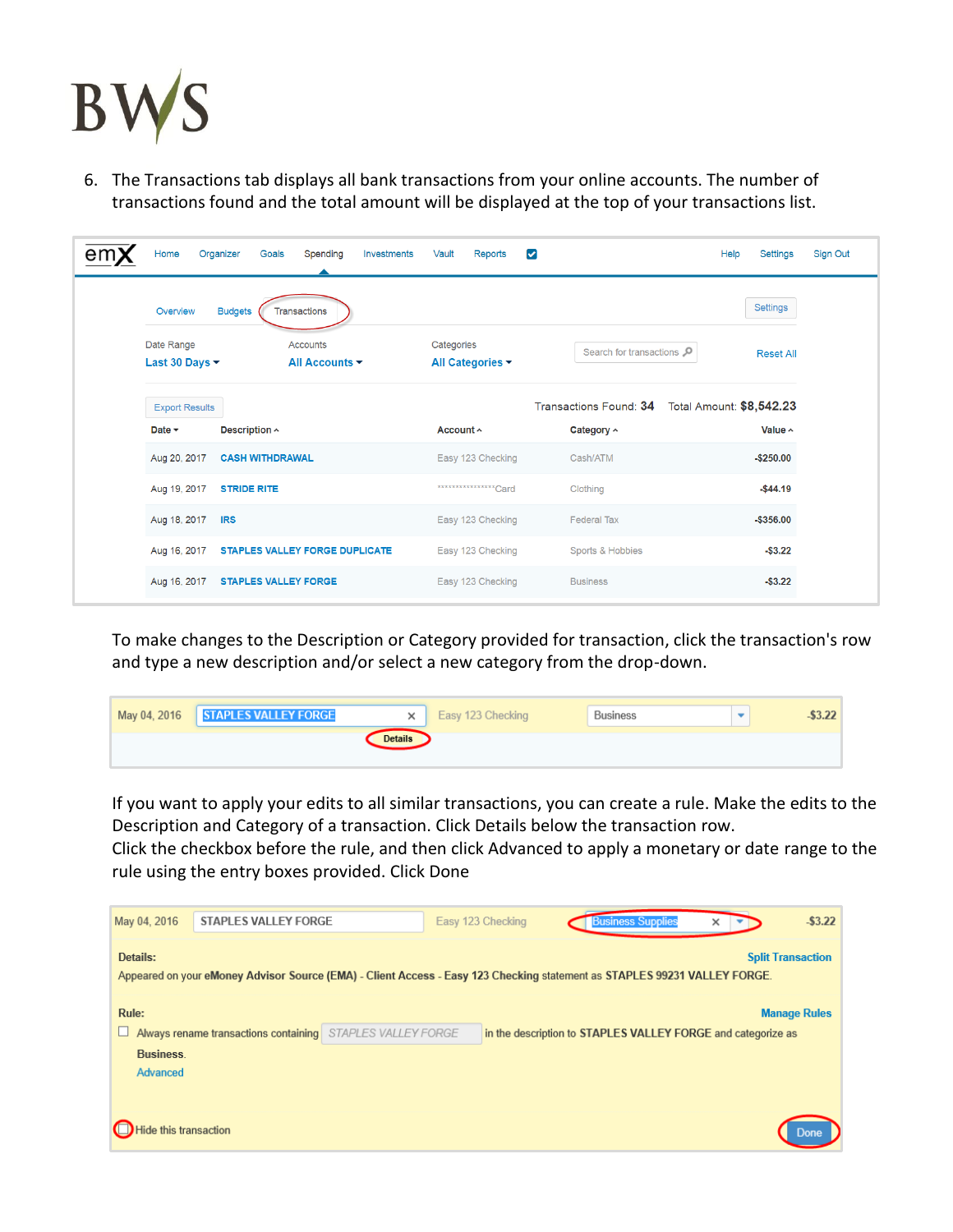

6. The Transactions tab displays all bank transactions from your online accounts. The number of transactions found and the total amount will be displayed at the top of your transactions list.

| Home                                            | Organizer<br>Goals<br>Spending<br>Investments        | $\blacktriangledown$<br>Vault<br>Reports |                         | Help<br>Settings         |
|-------------------------------------------------|------------------------------------------------------|------------------------------------------|-------------------------|--------------------------|
| Overview                                        | <b>Budgets</b><br><b>Transactions</b>                |                                          |                         | Settings                 |
| Date Range<br>Last 30 Days $\blacktriangledown$ | <b>Accounts</b><br>All Accounts $\blacktriangledown$ | Categories<br>All Categories $\sim$      | Search for transactions | <b>Reset All</b>         |
| <b>Export Results</b>                           |                                                      |                                          | Transactions Found: 34  | Total Amount: \$8,542.23 |
| Date $\sim$                                     | Description ^                                        | Account ^                                | Category ^              | Value ^                  |
| Aug 20, 2017                                    | <b>CASH WITHDRAWAL</b>                               | Easy 123 Checking                        | Cash/ATM                | $-$250.00$               |
| Aug 19, 2017                                    | <b>STRIDE RITE</b>                                   | **************** Card                    | Clothing                | $-$44.19$                |
| Aug 18, 2017                                    | <b>IRS</b>                                           | Easy 123 Checking                        | <b>Federal Tax</b>      | $-$ \$356.00             |
| Aug 16, 2017                                    | <b>STAPLES VALLEY FORGE DUPLICATE</b>                | Easy 123 Checking                        | Sports & Hobbies        | $-$ \$3.22               |
|                                                 |                                                      |                                          |                         |                          |
| Aug 16, 2017                                    | <b>STAPLES VALLEY FORGE</b>                          | Easy 123 Checking                        | <b>Business</b>         | $-$ \$3.22               |

To make changes to the Description or Category provided for transaction, click the transaction's row and type a new description and/or select a new category from the drop-down.

| May 04, 2016 STAPLES VALLEY FORGE<br>$\times$ | Easy 123 Checking | Business | $-53.22$ |
|-----------------------------------------------|-------------------|----------|----------|
| <b>Details</b>                                |                   |          |          |

If you want to apply your edits to all similar transactions, you can create a rule. Make the edits to the Description and Category of a transaction. Click Details below the transaction row.

Click the checkbox before the rule, and then click Advanced to apply a monetary or date range to the rule using the entry boxes provided. Click Done

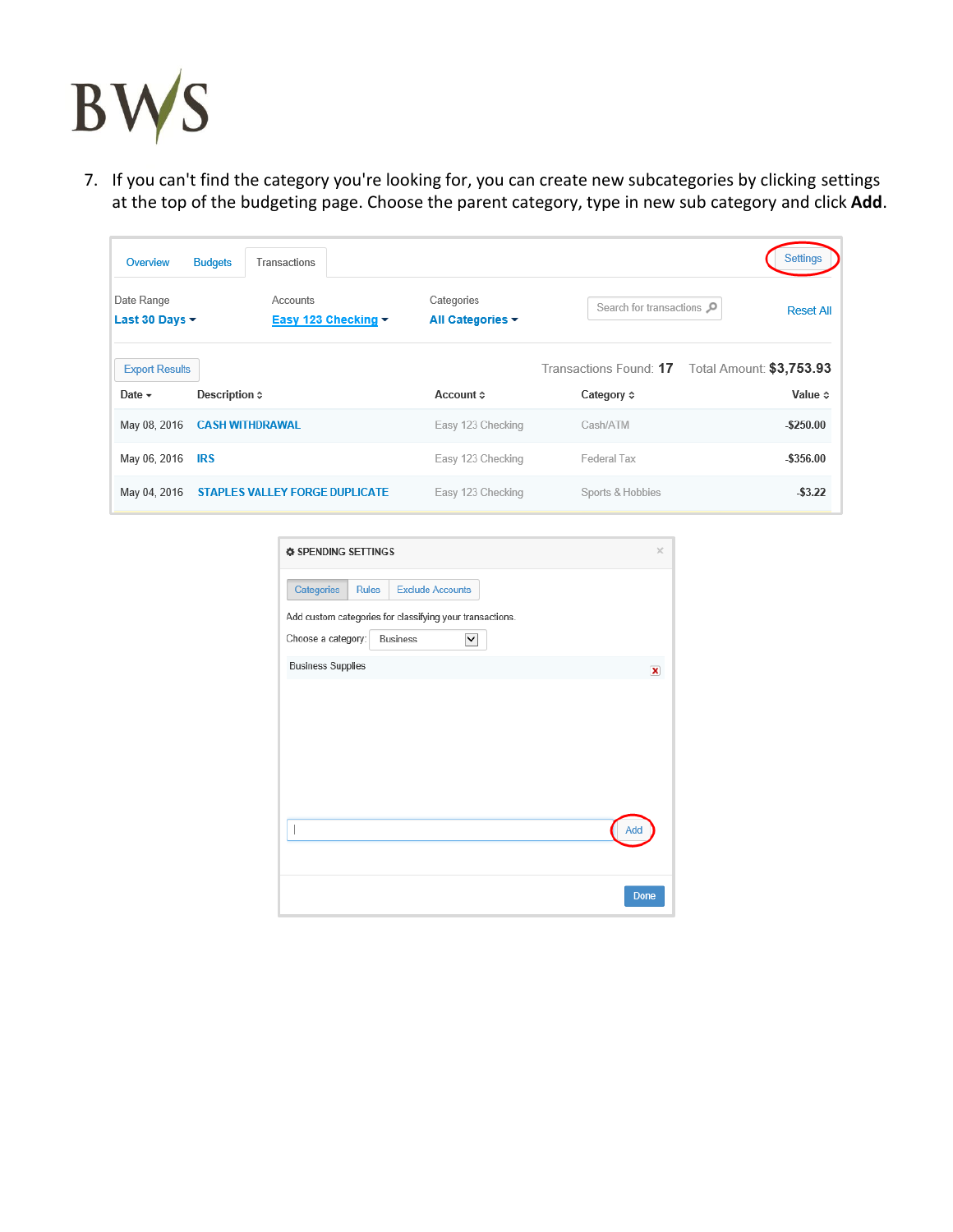

7. If you can't find the category you're looking for, you can create new subcategories by clicking settings at the top of the budgeting page. Choose the parent category, type in new sub category and click **Add**.

| Overview                             | <b>Budgets</b>         | Transactions                          |                                |                                  | Settings                                                                   |
|--------------------------------------|------------------------|---------------------------------------|--------------------------------|----------------------------------|----------------------------------------------------------------------------|
| Date Range<br>Last 30 Days ~         |                        | Accounts<br>Easy 123 Checking -       | Categories<br>All Categories ▼ | Search for transactions $\Omega$ | <b>Reset All</b>                                                           |
| <b>Export Results</b><br>Date $\sim$ | Description $\diamond$ |                                       | Account ≎                      | Category $\diamond$              | Transactions Found: 17 Total Amount: \$3,753.93<br>Value $\Leftrightarrow$ |
| May 08, 2016                         |                        | <b>CASH WITHDRAWAL</b>                | Easy 123 Checking              | Cash/ATM                         | $-$ \$250.00                                                               |
| May 06, 2016                         | <b>IRS</b>             |                                       | Easy 123 Checking              | Federal Tax                      | $-$ \$356.00                                                               |
| May 04, 2016                         |                        | <b>STAPLES VALLEY FORGE DUPLICATE</b> | Easy 123 Checking              | Sports & Hobbies                 | $-53.22$                                                                   |

| <b><math>\Phi</math> SPENDING SETTINGS</b> |                                                          | $\times$    |
|--------------------------------------------|----------------------------------------------------------|-------------|
| Categories                                 | <b>Rules</b><br><b>Exclude Accounts</b>                  |             |
|                                            | Add custom categories for classifying your transactions. |             |
| Choose a category:                         | <b>Business</b><br>v                                     |             |
| <b>Business Supplies</b>                   |                                                          | $\mathbf x$ |
|                                            |                                                          |             |
|                                            |                                                          |             |
|                                            |                                                          |             |
|                                            |                                                          |             |
|                                            |                                                          |             |
|                                            |                                                          | Add         |
|                                            |                                                          |             |
|                                            |                                                          |             |
|                                            |                                                          | Done        |